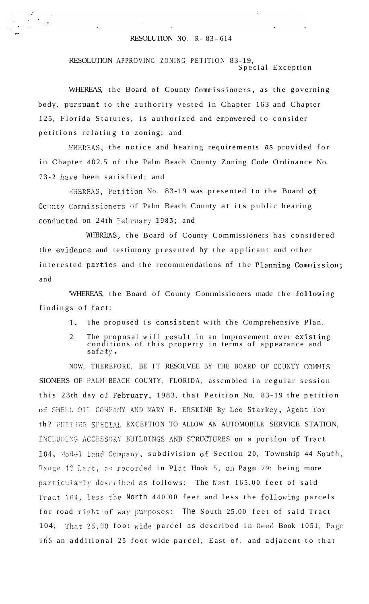## RESOLUTION NO.  $R - 83 - 614$

RESOLUTION APPROVING ZONING PETITION 83-19, Special Exception

WHEREAS, the Board of County Commissioners, as the governing body, pursuant to the authority vested in Chapter 163 and Chapter 125, Florida Statutes, is authorized and empowered to consider petitions relating to zoning; and

WHEREAS, the notice and hearing requirements as provided for in Chapter 402.5 of the Palm Beach County Zoning Code Ordinance No. 73-2 have been satisfied; and

«HEREAS, Petition No. 83-19 was presented to the Board of County Commissioners of Palm Beach County at its public hearing conducted on 24th February 1983; and

WHEREAS, the Board of County Commissioners has considered the evidence and testimony presented by the applicant and other interested parties and the recommendations of the Planning Commission; and

WHEREAS, the Board of County Commissioners made the following findings of fact:

> The proposed is consistent with the Comprehensive Plan.  $1.$

2. The proposal will result in an improvement over existing conditions of this property in terms of appearance and  $s$ afety.

NOW, THEREFORE, BE IT RESOLVEE BY THE BOARD OF COUNTY COMMIS-SIONERS OF PALM BEACH COUNTY, FLORIDA, assembled in regular session this 23th day of February, 1983, that Petition No. 83-19 the petition of SHELL OIL COMPANY AND MARY F. ERSKINE By Lee Starkey, Agent for th? FURT IER SPECIAL EXCEPTION TO ALLOW AN AUTOMOBILE SERVICE STATION, INCLUDING ACCESSORY BUILDINGS AND STRUCTURES on a portion of Tract 104, Model Land Company, subdivision of Section 20, Township 44 South, Range 13 hast, as recorded in Plat Hook 5, on Page 79: being more particularly described as follows: The West 165.00 feet of said Tract 104, less the North 440.00 feet and less the following parcels for road right-of-way purposes: The South 25.00 feet of said Tract 104; That 25.00 foot wide parcel as described in Deed Book 1051, Page 165 an additional 25 foot wide parcel, East of, and adjacent to that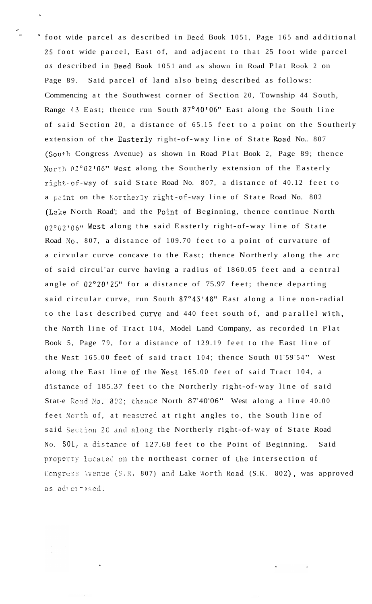- foot wide parcel as described in need Book 1051, Page 165 and additional 25 foot wide parcel, East of, and adjacent to that 25 foot wide parcel *as* described in Deed Book 1051 and as shown in Road Plat Rook 2 on Page 89. Said parcel of land also being described as follows: Commencing at the Southwest corner of Section 20, Township 44 South, Range **43** East; thence run South 87"40'06" East along the South line of said Section 20, a distance of 65.15 feet to a point on the Southerly extension of the Easterly right-of-way line of State Road No.. 807 (South Congress Avenue) as shown in Road Plat Book 2, Page 89; thence North 02°02'06" West along the Southerly extension of the Easterly right-of-way of said State Road No. 807, a distance of 40.12 feet to a point on the Northerly right-of-way line of State Road No. 802 (La'ke North Road'; and the Foint of Beginning, thence continue North 02°62'06" West along the said Easterly right-of-way line of State Road No. 807, a distance of 109.70 feet to a point of curvature of a cirvular curve concave to the East; thence Northerly along the arc of said circul'ar curve having a radius of 1860.05 feet and a central angle of 02°20'25" for a distance of 75.97 feet; thence departing said circular curve, run South 87°43'48" East along a line non-radial to the last described curve and 440 feet south of, and parallel with, the Xorth line of Tract 104, Model Land Company, as recorded in Plat Book 5, Page 79, for a distance of 129.19 feet to the East line of the West  $165.00$  feet of said tract  $104$ ; thence South  $01'59'54''$  West along the East line of the West 165.00 feet of said Tract 104, a distance of 185.37 feet to the Northerly right-of-way line of said Stat-e Road No. 802; thence North 87'40'06" West along a line 40.00 feet North of, at measured at right angles to, the South line of said Section 20 and along the Northerly right- of-way of State Road No. SOL, a distance of 127.68 feet to the Point of Beginning. Said property located on the northeast corner of the intersection of Congress Avenue (S.R. 807) and Lake Worth Road (S.K. 802), was approved as advertised.

**4**